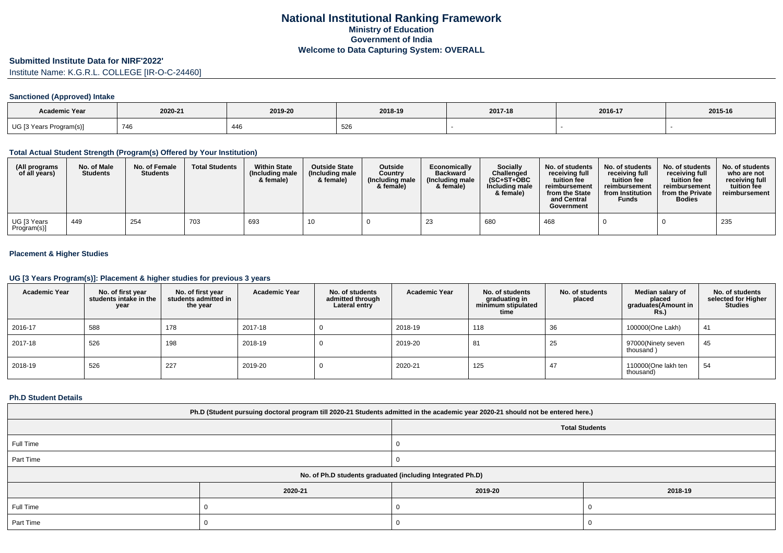### **Submitted Institute Data for NIRF'2022'**

Institute Name: K.G.R.L. COLLEGE [IR-O-C-24460]

## **Sanctioned (Approved) Intake**

| <b>Academic Year</b>    |         |         |         |         |         |         |
|-------------------------|---------|---------|---------|---------|---------|---------|
|                         | 2020-21 | 2019-20 | 2018-19 | 2017-18 | 2016-17 | 2015-16 |
| UG [3 Years Program(s)] | 746     | 446     | ວ∠໐     |         |         |         |

#### **Total Actual Student Strength (Program(s) Offered by Your Institution)**

| (All programs<br>of all years) | No. of Male<br><b>Students</b> | No. of Female<br><b>Students</b> | <b>Total Students</b> | <b>Within State</b><br>(Including male<br>& female) | <b>Outside State</b><br>(Including male<br>& female) | Outside<br>Country<br>(Including male<br>& female) | Economically<br><b>Backward</b><br>(Including male<br>& female) | Socially<br>Challenged<br>$(SC+ST+OBC$<br>Including male<br>& female) | No. of students<br>receiving full<br>tuition fee<br>reimbursement<br>from the State<br>and Central<br>Government | No. of students<br>receiving full<br>tuition fee<br>reimbursement<br>from Institution<br><b>Funds</b> | No. of students<br>receiving full<br>tuition fee<br>reimbursement<br>from the Private<br><b>Bodies</b> | No. of students<br>who are not<br>receiving full<br>tuition fee<br>reimbursement |
|--------------------------------|--------------------------------|----------------------------------|-----------------------|-----------------------------------------------------|------------------------------------------------------|----------------------------------------------------|-----------------------------------------------------------------|-----------------------------------------------------------------------|------------------------------------------------------------------------------------------------------------------|-------------------------------------------------------------------------------------------------------|--------------------------------------------------------------------------------------------------------|----------------------------------------------------------------------------------|
| UG [3 Years<br>Program(s)]     | 449                            | 254                              | 703                   | 693                                                 |                                                      |                                                    | 23                                                              | 680                                                                   | 468                                                                                                              |                                                                                                       |                                                                                                        | 235                                                                              |

## **Placement & Higher Studies**

#### **UG [3 Years Program(s)]: Placement & higher studies for previous 3 years**

| <b>Academic Year</b> | No. of first year<br>students intake in the<br>year | No. of first year<br>students admitted in<br>the year | <b>Academic Year</b> | No. of students<br>admitted through<br>Lateral entry | <b>Academic Year</b> | No. of students<br>graduating in<br>minimum stipulated<br>time | No. of students<br>placed | Median salary of<br>placed<br>graduates(Amount in<br><b>Rs.)</b> | No. of students<br>selected for Higher<br><b>Studies</b> |
|----------------------|-----------------------------------------------------|-------------------------------------------------------|----------------------|------------------------------------------------------|----------------------|----------------------------------------------------------------|---------------------------|------------------------------------------------------------------|----------------------------------------------------------|
| 2016-17              | 588                                                 | 178                                                   | 2017-18              |                                                      | 2018-19              | 118                                                            | 36                        | 100000(One Lakh)                                                 | 41                                                       |
| 2017-18              | 526                                                 | 198                                                   | 2018-19              |                                                      | 2019-20              | 81                                                             | 25                        | 97000(Ninety seven<br>thousand)                                  | 45                                                       |
| 2018-19              | 526                                                 | 227                                                   | 2019-20              |                                                      | 2020-21              | 125                                                            |                           | 110000(One lakh ten<br>thousand)                                 | 54                                                       |

#### **Ph.D Student Details**

| Ph.D (Student pursuing doctoral program till 2020-21 Students admitted in the academic year 2020-21 should not be entered here.) |         |         |         |  |  |
|----------------------------------------------------------------------------------------------------------------------------------|---------|---------|---------|--|--|
| <b>Total Students</b>                                                                                                            |         |         |         |  |  |
| Full Time                                                                                                                        |         |         |         |  |  |
| Part Time                                                                                                                        |         |         |         |  |  |
| No. of Ph.D students graduated (including Integrated Ph.D)                                                                       |         |         |         |  |  |
|                                                                                                                                  | 2020-21 | 2019-20 | 2018-19 |  |  |
| Full Time                                                                                                                        |         |         |         |  |  |
| Part Time                                                                                                                        |         |         |         |  |  |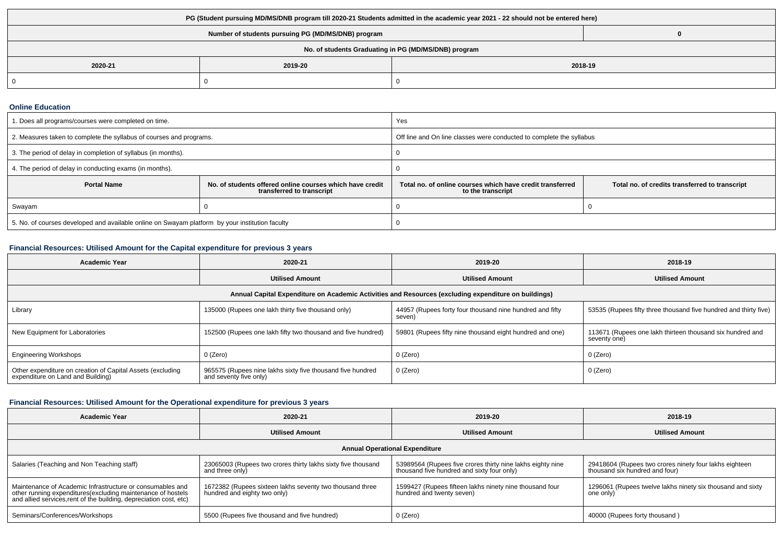| PG (Student pursuing MD/MS/DNB program till 2020-21 Students admitted in the academic year 2021 - 22 should not be entered here) |         |         |  |  |
|----------------------------------------------------------------------------------------------------------------------------------|---------|---------|--|--|
| Number of students pursuing PG (MD/MS/DNB) program                                                                               |         |         |  |  |
| No. of students Graduating in PG (MD/MS/DNB) program                                                                             |         |         |  |  |
| 2020-21                                                                                                                          | 2019-20 | 2018-19 |  |  |
|                                                                                                                                  |         |         |  |  |

### **Online Education**

| . Does all programs/courses were completed on time.                                             |                                                                                       | Yes                                                                            |                                                |  |
|-------------------------------------------------------------------------------------------------|---------------------------------------------------------------------------------------|--------------------------------------------------------------------------------|------------------------------------------------|--|
| 2. Measures taken to complete the syllabus of courses and programs.                             |                                                                                       | Off line and On line classes were conducted to complete the syllabus           |                                                |  |
| 3. The period of delay in completion of syllabus (in months).                                   |                                                                                       |                                                                                |                                                |  |
| 4. The period of delay in conducting exams (in months).                                         |                                                                                       |                                                                                |                                                |  |
| <b>Portal Name</b>                                                                              | No. of students offered online courses which have credit<br>transferred to transcript | Total no, of online courses which have credit transferred<br>to the transcript | Total no. of credits transferred to transcript |  |
| Swayam                                                                                          |                                                                                       |                                                                                |                                                |  |
| 5. No. of courses developed and available online on Swayam platform by your institution faculty |                                                                                       |                                                                                |                                                |  |

# **Financial Resources: Utilised Amount for the Capital expenditure for previous 3 years**

| <b>Academic Year</b>                                                                                 | 2020-21                                                                              | 2019-20                                                            | 2018-19                                                                   |  |  |  |
|------------------------------------------------------------------------------------------------------|--------------------------------------------------------------------------------------|--------------------------------------------------------------------|---------------------------------------------------------------------------|--|--|--|
|                                                                                                      | <b>Utilised Amount</b>                                                               | <b>Utilised Amount</b>                                             | <b>Utilised Amount</b>                                                    |  |  |  |
| Annual Capital Expenditure on Academic Activities and Resources (excluding expenditure on buildings) |                                                                                      |                                                                    |                                                                           |  |  |  |
| Library                                                                                              | 135000 (Rupees one lakh thirty five thousand only)                                   | 44957 (Rupees forty four thousand nine hundred and fifty<br>seven) | 53535 (Rupees fifty three thousand five hundred and thirty five)          |  |  |  |
| New Equipment for Laboratories                                                                       | 152500 (Rupees one lakh fifty two thousand and five hundred)                         | 59801 (Rupees fifty nine thousand eight hundred and one)           | 113671 (Rupees one lakh thirteen thousand six hundred and<br>seventy one) |  |  |  |
| <b>Engineering Workshops</b>                                                                         | 0 (Zero)                                                                             | 0 (Zero)                                                           | 0 (Zero)                                                                  |  |  |  |
| Other expenditure on creation of Capital Assets (excluding<br>expenditure on Land and Building)      | 965575 (Rupees nine lakhs sixty five thousand five hundred<br>and seventy five only) | 0 (Zero)                                                           | 0 (Zero)                                                                  |  |  |  |

# **Financial Resources: Utilised Amount for the Operational expenditure for previous 3 years**

| <b>Academic Year</b>                                                                                                                                                                           | 2020-21                                                                                  | 2019-20                                                                                                  | 2018-19                                                                                  |  |  |  |
|------------------------------------------------------------------------------------------------------------------------------------------------------------------------------------------------|------------------------------------------------------------------------------------------|----------------------------------------------------------------------------------------------------------|------------------------------------------------------------------------------------------|--|--|--|
|                                                                                                                                                                                                | <b>Utilised Amount</b>                                                                   | <b>Utilised Amount</b>                                                                                   | <b>Utilised Amount</b>                                                                   |  |  |  |
| <b>Annual Operational Expenditure</b>                                                                                                                                                          |                                                                                          |                                                                                                          |                                                                                          |  |  |  |
| Salaries (Teaching and Non Teaching staff)                                                                                                                                                     | 23065003 (Rupees two crores thirty lakhs sixty five thousand<br>and three only)          | 53989564 (Rupees five crores thirty nine lakhs eighty nine<br>thousand five hundred and sixty four only) | 29418604 (Rupees two crores ninety four lakhs eighteen<br>thousand six hundred and four) |  |  |  |
| Maintenance of Academic Infrastructure or consumables and<br>other running expenditures(excluding maintenance of hostels<br>and allied services, rent of the building, depreciation cost, etc) | 1672382 (Rupees sixteen lakhs seventy two thousand three<br>hundred and eighty two only) | 1599427 (Rupees fifteen lakhs ninety nine thousand four<br>hundred and twenty seven)                     | 1296061 (Rupees twelve lakhs ninety six thousand and sixty<br>one only)                  |  |  |  |
| Seminars/Conferences/Workshops                                                                                                                                                                 | 5500 (Rupees five thousand and five hundred)                                             | 0 (Zero)                                                                                                 | 40000 (Rupees forty thousand)                                                            |  |  |  |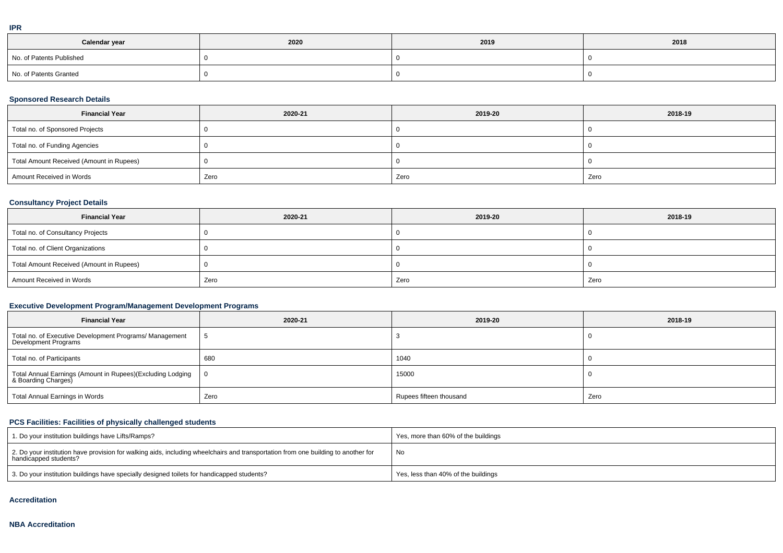|  | ۰ |
|--|---|
|  |   |
|  |   |
|  |   |

| Calendar year            | 2020 | 2019 | 2018 |
|--------------------------|------|------|------|
| No. of Patents Published |      |      |      |
| No. of Patents Granted   |      |      |      |

# **Sponsored Research Details**

| <b>Financial Year</b>                    | 2020-21 | 2019-20 | 2018-19 |
|------------------------------------------|---------|---------|---------|
| Total no. of Sponsored Projects          |         |         |         |
| Total no. of Funding Agencies            |         |         |         |
| Total Amount Received (Amount in Rupees) |         |         |         |
| Amount Received in Words                 | Zero    | Zero    | Zero    |

# **Consultancy Project Details**

| <b>Financial Year</b>                    | 2020-21 | 2019-20 | 2018-19 |
|------------------------------------------|---------|---------|---------|
| Total no. of Consultancy Projects        |         |         |         |
| Total no. of Client Organizations        |         |         |         |
| Total Amount Received (Amount in Rupees) |         |         |         |
| Amount Received in Words                 | Zero    | Zero    | Zero    |

# **Executive Development Program/Management Development Programs**

| <b>Financial Year</b>                                                             | 2020-21 | 2019-20                 | 2018-19 |
|-----------------------------------------------------------------------------------|---------|-------------------------|---------|
| Total no. of Executive Development Programs/ Management<br>Development Programs   |         |                         |         |
| Total no. of Participants                                                         | 680     | 1040                    |         |
| Total Annual Earnings (Amount in Rupees)(Excluding Lodging<br>& Boarding Charges) | - 0     | 15000                   |         |
| Total Annual Earnings in Words                                                    | Zero    | Rupees fifteen thousand | Zero    |

# **PCS Facilities: Facilities of physically challenged students**

| 1. Do your institution buildings have Lifts/Ramps?                                                                                                         | Yes, more than 60% of the buildings |
|------------------------------------------------------------------------------------------------------------------------------------------------------------|-------------------------------------|
| 2. Do your institution have provision for walking aids, including wheelchairs and transportation from one building to another for<br>handicapped students? | No                                  |
| 3. Do your institution buildings have specially designed toilets for handicapped students?                                                                 | Yes, less than 40% of the buildings |

#### **Accreditation**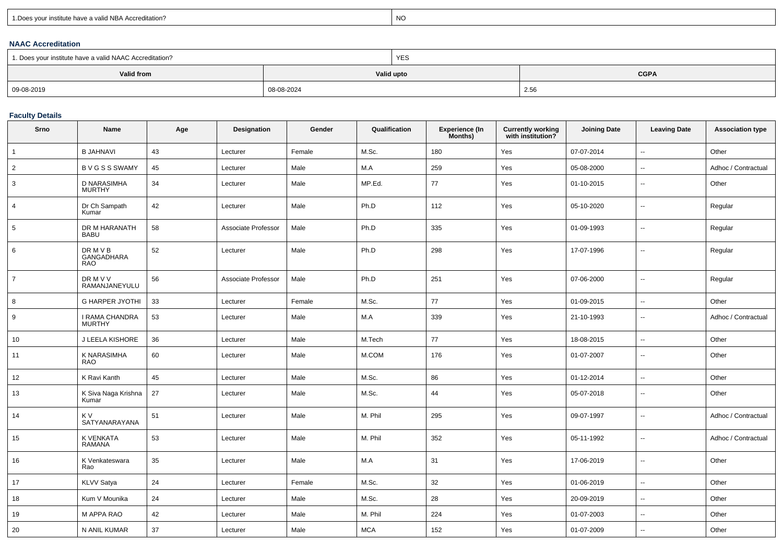| 1. Does your institute have a valid NBA Accreditation? |  |
|--------------------------------------------------------|--|
|                                                        |  |

expression of the contract of the contract of the contract of the contract of the contract of the contract of the contract of the contract of the contract of the contract of the contract of the contract of the contract of

## **NAAC Accreditation**

| 1. Does your institute have a valid NAAC Accreditation? |            | <b>YES</b> |             |  |  |
|---------------------------------------------------------|------------|------------|-------------|--|--|
| Valid from                                              | Valid upto |            | <b>CGPA</b> |  |  |
| 09-08-2019                                              | 08-08-2024 |            | 2.56        |  |  |

# **Faculty Details**

| Srno            | Name                                 | Age | Designation         | Gender | Qualification | Experience (In<br>Months) | Currently working<br>with institution? | <b>Joining Date</b> | <b>Leaving Date</b>      | <b>Association type</b> |
|-----------------|--------------------------------------|-----|---------------------|--------|---------------|---------------------------|----------------------------------------|---------------------|--------------------------|-------------------------|
| $\overline{1}$  | <b>B JAHNAVI</b>                     | 43  | Lecturer            | Female | M.Sc.         | 180                       | Yes                                    | 07-07-2014          | $\sim$                   | Other                   |
| $\overline{2}$  | <b>BVGSSSWAMY</b>                    | 45  | Lecturer            | Male   | M.A           | 259                       | Yes                                    | 05-08-2000          | $\sim$                   | Adhoc / Contractual     |
| 3               | D NARASIMHA<br><b>MURTHY</b>         | 34  | Lecturer            | Male   | MP.Ed.        | 77                        | Yes                                    | 01-10-2015          | $\sim$                   | Other                   |
| $\overline{4}$  | Dr Ch Sampath<br>Kumar               | 42  | Lecturer            | Male   | Ph.D          | 112                       | Yes                                    | 05-10-2020          | $\sim$                   | Regular                 |
| $5\phantom{.0}$ | DR M HARANATH<br><b>BABU</b>         | 58  | Associate Professor | Male   | Ph.D          | 335                       | Yes                                    | 01-09-1993          | $\sim$                   | Regular                 |
| 6               | DR M V B<br>GANGADHARA<br><b>RAO</b> | 52  | Lecturer            | Male   | Ph.D          | 298                       | Yes                                    | 17-07-1996          | $\overline{\phantom{a}}$ | Regular                 |
| $\overline{7}$  | DR M V V<br>RAMANJANEYULU            | 56  | Associate Professor | Male   | Ph.D          | 251                       | Yes                                    | 07-06-2000          | $\sim$                   | Regular                 |
| 8               | <b>G HARPER JYOTHI</b>               | 33  | Lecturer            | Female | M.Sc.         | 77                        | Yes                                    | 01-09-2015          | $\sim$                   | Other                   |
| 9               | I RAMA CHANDRA<br><b>MURTHY</b>      | 53  | Lecturer            | Male   | M.A           | 339                       | Yes                                    | 21-10-1993          | $\sim$                   | Adhoc / Contractual     |
| 10              | J LEELA KISHORE                      | 36  | Lecturer            | Male   | M.Tech        | 77                        | Yes                                    | 18-08-2015          | $\sim$                   | Other                   |
| 11              | K NARASIMHA<br><b>RAO</b>            | 60  | Lecturer            | Male   | M.COM         | 176                       | Yes                                    | 01-07-2007          | $\mathbf{u}$             | Other                   |
| 12              | K Ravi Kanth                         | 45  | Lecturer            | Male   | M.Sc.         | 86                        | Yes                                    | 01-12-2014          | $\sim$                   | Other                   |
| 13              | K Siva Naga Krishna<br>Kumar         | 27  | Lecturer            | Male   | M.Sc.         | 44                        | Yes                                    | 05-07-2018          | $\sim$                   | Other                   |
| 14              | K V<br>SATYANARAYANA                 | 51  | Lecturer            | Male   | M. Phil       | 295                       | Yes                                    | 09-07-1997          | $\sim$                   | Adhoc / Contractual     |
| 15              | K VENKATA<br><b>RAMANA</b>           | 53  | Lecturer            | Male   | M. Phil       | 352                       | Yes                                    | 05-11-1992          | $\overline{\phantom{a}}$ | Adhoc / Contractual     |
| 16              | K Venkateswara<br>Rao                | 35  | Lecturer            | Male   | M.A           | 31                        | Yes                                    | 17-06-2019          | $\sim$                   | Other                   |
| 17              | <b>KLVV Satya</b>                    | 24  | Lecturer            | Female | M.Sc.         | 32                        | Yes                                    | 01-06-2019          | $\overline{\phantom{a}}$ | Other                   |
| 18              | Kum V Mounika                        | 24  | Lecturer            | Male   | M.Sc.         | 28                        | Yes                                    | 20-09-2019          | $\sim$                   | Other                   |
| 19              | M APPA RAO                           | 42  | Lecturer            | Male   | M. Phil       | 224                       | Yes                                    | 01-07-2003          | $\sim$                   | Other                   |
| 20              | N ANIL KUMAR                         | 37  | Lecturer            | Male   | <b>MCA</b>    | 152                       | Yes                                    | 01-07-2009          | $\sim$                   | Other                   |